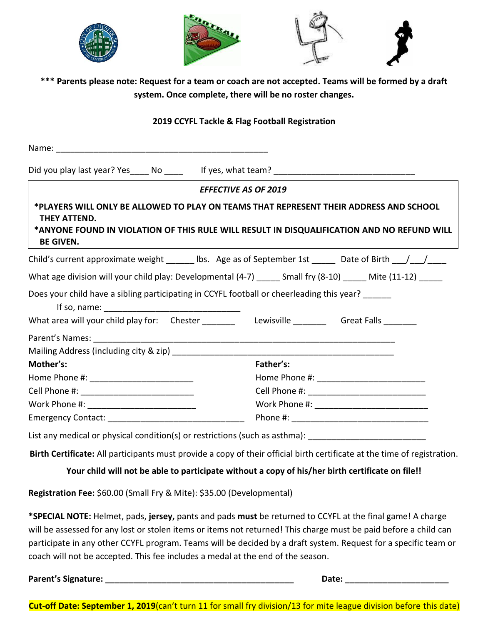

**\*\*\* Parents please note: Request for a team or coach are not accepted. Teams will be formed by a draft system. Once complete, there will be no roster changes.**

## **2019 CCYFL Tackle & Flag Football Registration**

| *PLAYERS WILL ONLY BE ALLOWED TO PLAY ON TEAMS THAT REPRESENT THEIR ADDRESS AND SCHOOL<br>THEY ATTEND.<br><b>BE GIVEN.</b>                                                                                       | <b>EFFECTIVE AS OF 2019</b><br>*ANYONE FOUND IN VIOLATION OF THIS RULE WILL RESULT IN DISQUALIFICATION AND NO REFUND WILL |
|------------------------------------------------------------------------------------------------------------------------------------------------------------------------------------------------------------------|---------------------------------------------------------------------------------------------------------------------------|
| Child's current approximate weight ______ lbs. Age as of September 1st _____ Date of Birth ___/___/____                                                                                                          |                                                                                                                           |
| What age division will your child play: Developmental (4-7) ______ Small fry (8-10) _____ Mite (11-12) _____                                                                                                     |                                                                                                                           |
| Does your child have a sibling participating in CCYFL football or cheerleading this year?<br>If so, name: $\sqrt{ }$<br>What area will your child play for: Chester _______ Lewisville ______ Great Falls ______ |                                                                                                                           |
|                                                                                                                                                                                                                  |                                                                                                                           |
|                                                                                                                                                                                                                  |                                                                                                                           |
| Mother's:                                                                                                                                                                                                        | Father's:                                                                                                                 |
|                                                                                                                                                                                                                  |                                                                                                                           |
|                                                                                                                                                                                                                  |                                                                                                                           |
|                                                                                                                                                                                                                  |                                                                                                                           |
|                                                                                                                                                                                                                  |                                                                                                                           |
| List any medical or physical condition(s) or restrictions (such as asthma): ________________________                                                                                                             |                                                                                                                           |
|                                                                                                                                                                                                                  | Birth Certificate: All participants must provide a copy of their official birth certificate at the time of registration.  |
|                                                                                                                                                                                                                  | Your child will not be able to participate without a copy of his/her birth certificate on file!!                          |

**Registration Fee:** \$60.00 (Small Fry & Mite): \$35.00 (Developmental)

**\*SPECIAL NOTE:** Helmet, pads, **jersey,** pants and pads **must** be returned to CCYFL at the final game! A charge will be assessed for any lost or stolen items or items not returned! This charge must be paid before a child can participate in any other CCYFL program. Teams will be decided by a draft system. Request for a specific team or coach will not be accepted. This fee includes a medal at the end of the season.

|  | Parent's Signature: |  |
|--|---------------------|--|
|  |                     |  |

 $\mathsf{Date:}$ 

**Cut-off Date: September 1, 2019**(can't turn 11 for small fry division/13 for mite league division before this date)